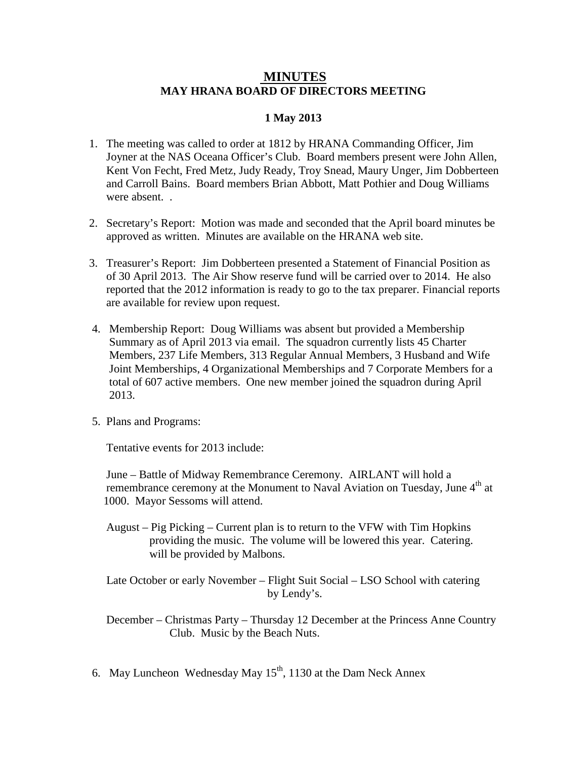## **MINUTES MAY HRANA BOARD OF DIRECTORS MEETING**

## **1 May 2013**

- 1. The meeting was called to order at 1812 by HRANA Commanding Officer, Jim Joyner at the NAS Oceana Officer's Club. Board members present were John Allen, Kent Von Fecht, Fred Metz, Judy Ready, Troy Snead, Maury Unger, Jim Dobberteen and Carroll Bains. Board members Brian Abbott, Matt Pothier and Doug Williams were absent.
- 2. Secretary's Report: Motion was made and seconded that the April board minutes be approved as written. Minutes are available on the HRANA web site.
- 3. Treasurer's Report: Jim Dobberteen presented a Statement of Financial Position as of 30 April 2013. The Air Show reserve fund will be carried over to 2014. He also reported that the 2012 information is ready to go to the tax preparer. Financial reports are available for review upon request.
- 4. Membership Report: Doug Williams was absent but provided a Membership Summary as of April 2013 via email. The squadron currently lists 45 Charter Members, 237 Life Members, 313 Regular Annual Members, 3 Husband and Wife Joint Memberships, 4 Organizational Memberships and 7 Corporate Members for a total of 607 active members. One new member joined the squadron during April 2013.
- 5. Plans and Programs:

Tentative events for 2013 include:

 June – Battle of Midway Remembrance Ceremony. AIRLANT will hold a remembrance ceremony at the Monument to Naval Aviation on Tuesday, June 4<sup>th</sup> at 1000. Mayor Sessoms will attend.

 August – Pig Picking – Current plan is to return to the VFW with Tim Hopkins providing the music. The volume will be lowered this year. Catering. will be provided by Malbons.

 Late October or early November – Flight Suit Social – LSO School with catering by Lendy's.

 December – Christmas Party – Thursday 12 December at the Princess Anne Country Club. Music by the Beach Nuts.

6. May Luncheon Wednesday May  $15<sup>th</sup>$ , 1130 at the Dam Neck Annex